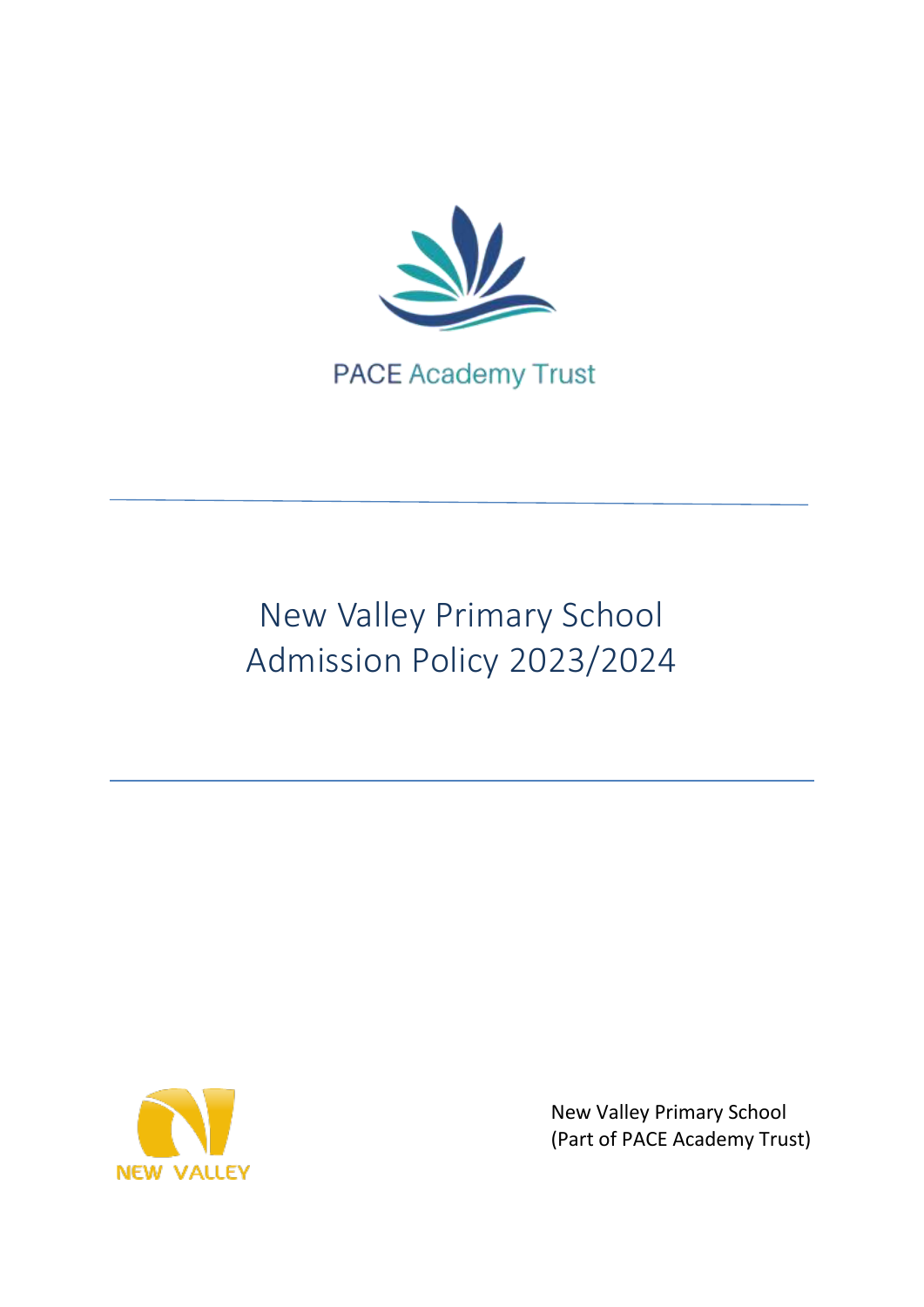

**PACE Academy Trust** 

# New Valley Primary School Admission Policy 2023/2024



New Valley Primary School (Part of PACE Academy Trust)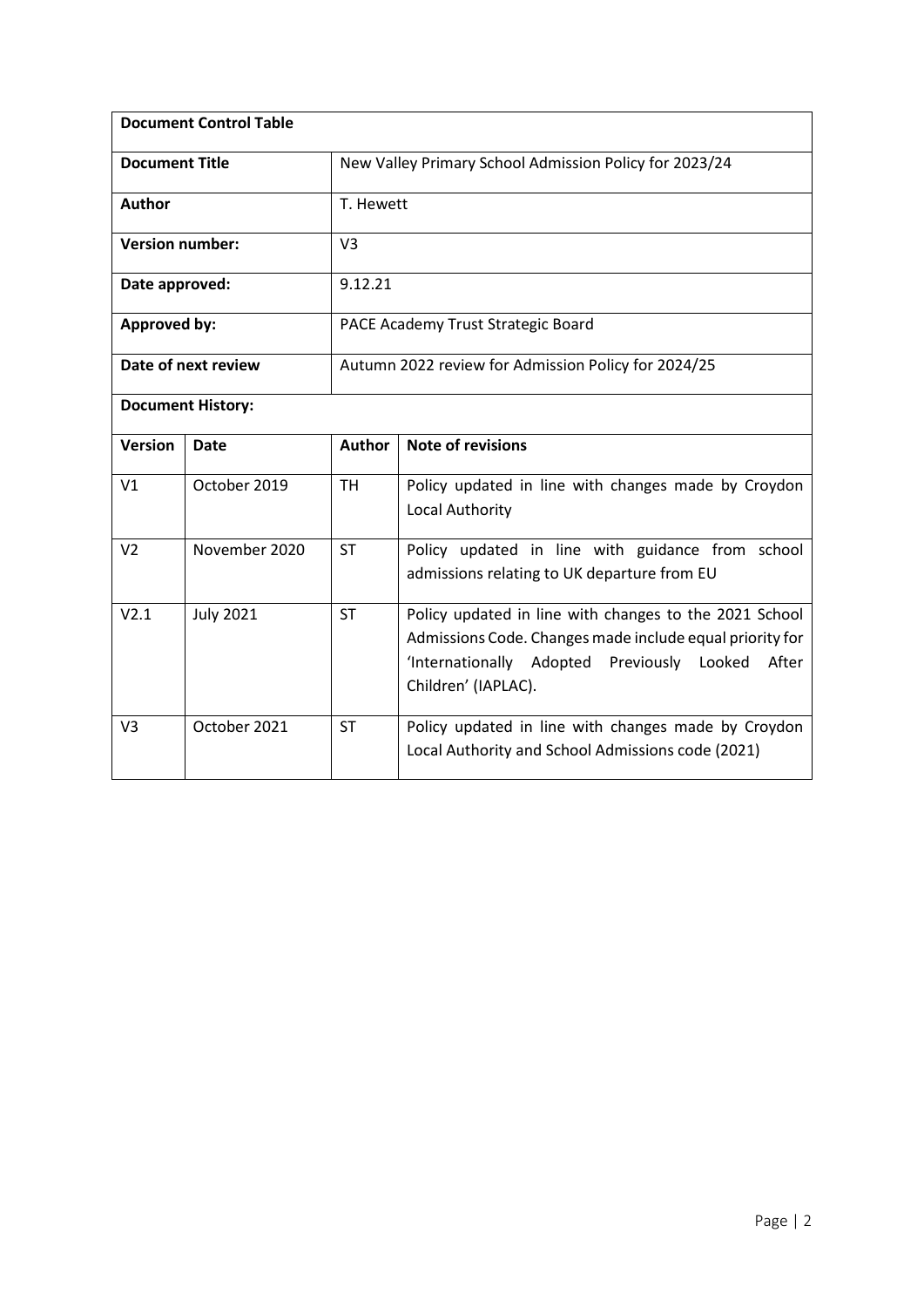| <b>Document Control Table</b> |                  |                                                        |                                                                                                                                                                                                  |  |
|-------------------------------|------------------|--------------------------------------------------------|--------------------------------------------------------------------------------------------------------------------------------------------------------------------------------------------------|--|
| <b>Document Title</b>         |                  | New Valley Primary School Admission Policy for 2023/24 |                                                                                                                                                                                                  |  |
| <b>Author</b>                 |                  | T. Hewett                                              |                                                                                                                                                                                                  |  |
| <b>Version number:</b>        |                  | V <sub>3</sub>                                         |                                                                                                                                                                                                  |  |
| Date approved:                |                  | 9.12.21                                                |                                                                                                                                                                                                  |  |
| <b>Approved by:</b>           |                  | PACE Academy Trust Strategic Board                     |                                                                                                                                                                                                  |  |
| Date of next review           |                  | Autumn 2022 review for Admission Policy for 2024/25    |                                                                                                                                                                                                  |  |
| <b>Document History:</b>      |                  |                                                        |                                                                                                                                                                                                  |  |
| <b>Version</b>                | Date             | <b>Author</b>                                          | <b>Note of revisions</b>                                                                                                                                                                         |  |
| V <sub>1</sub>                | October 2019     | <b>TH</b>                                              | Policy updated in line with changes made by Croydon<br>Local Authority                                                                                                                           |  |
| V <sub>2</sub>                | November 2020    | <b>ST</b>                                              | Policy updated in line with guidance from school<br>admissions relating to UK departure from EU                                                                                                  |  |
| V2.1                          | <b>July 2021</b> | <b>ST</b>                                              | Policy updated in line with changes to the 2021 School<br>Admissions Code. Changes made include equal priority for<br>'Internationally Adopted Previously Looked<br>After<br>Children' (IAPLAC). |  |
| V <sub>3</sub>                | October 2021     | <b>ST</b>                                              | Policy updated in line with changes made by Croydon<br>Local Authority and School Admissions code (2021)                                                                                         |  |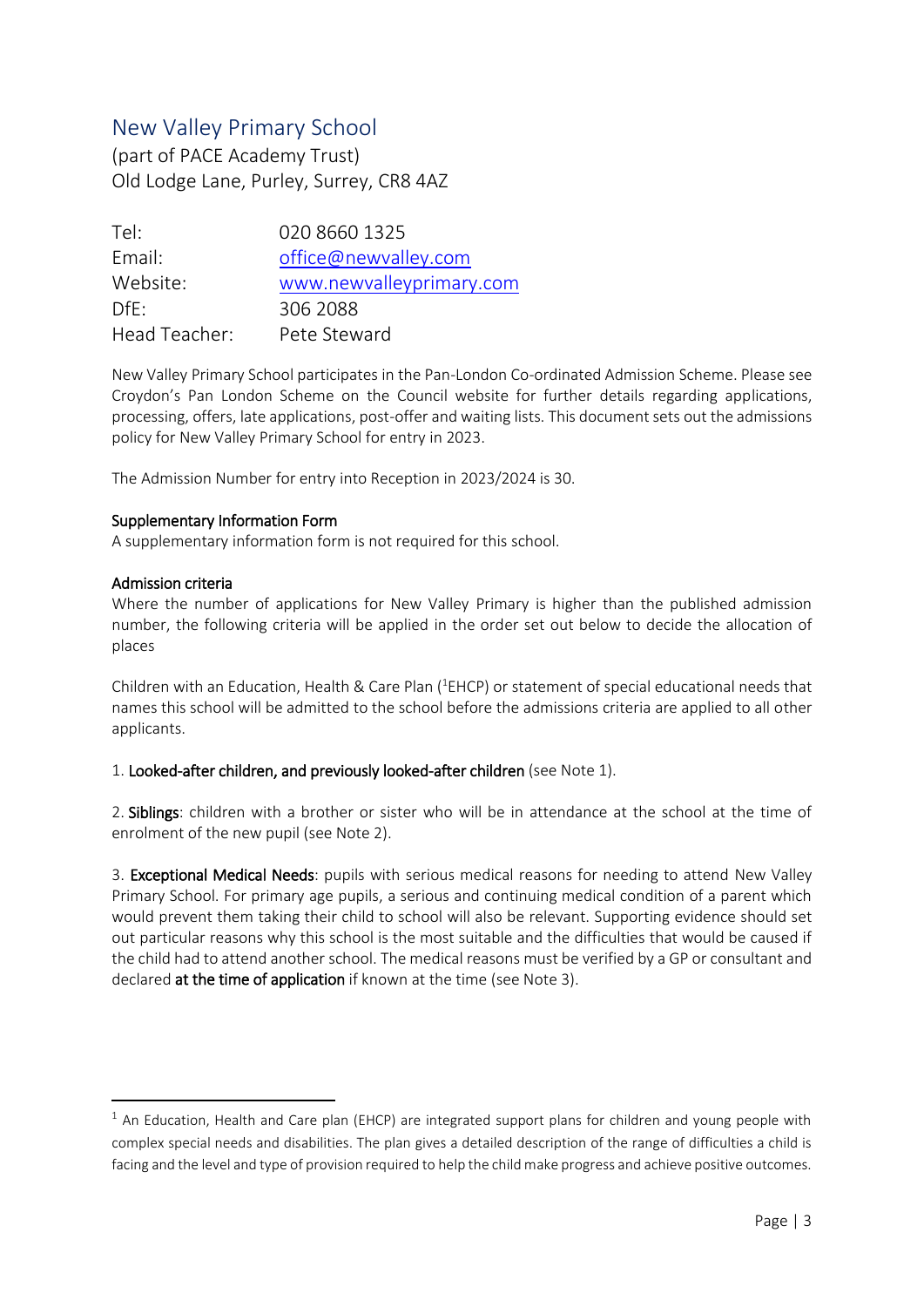# New Valley Primary School

(part of PACE Academy Trust) Old Lodge Lane, Purley, Surrey, CR8 4AZ

| Tel:          | 020 8660 1325            |
|---------------|--------------------------|
| Email:        | office@newvalley.com     |
| Website:      | www.newvalleyprimary.com |
| $Dff$ :       | 306 2088                 |
| Head Teacher: | Pete Steward             |

New Valley Primary School participates in the Pan-London Co-ordinated Admission Scheme. Please see Croydon's Pan London Scheme on the Council website for further details regarding applications, processing, offers, late applications, post-offer and waiting lists. This document sets out the admissions policy for New Valley Primary School for entry in 2023.

The Admission Number for entry into Reception in 2023/2024 is 30.

# Supplementary Information Form

A supplementary information form is not required for this school.

# Admission criteria

**.** 

Where the number of applications for New Valley Primary is higher than the published admission number, the following criteria will be applied in the order set out below to decide the allocation of places

Children with an Education, Health & Care Plan (<sup>1</sup>EHCP) or statement of special educational needs that names this school will be admitted to the school before the admissions criteria are applied to all other applicants.

1. Looked-after children, and previously looked-after children (see Note 1).

2. Siblings: children with a brother or sister who will be in attendance at the school at the time of enrolment of the new pupil (see Note 2).

3. Exceptional Medical Needs: pupils with serious medical reasons for needing to attend New Valley Primary School. For primary age pupils, a serious and continuing medical condition of a parent which would prevent them taking their child to school will also be relevant. Supporting evidence should set out particular reasons why this school is the most suitable and the difficulties that would be caused if the child had to attend another school. The medical reasons must be verified by a GP or consultant and declared at the time of application if known at the time (see Note 3).

 $1$  An Education, Health and Care plan (EHCP) are integrated support plans for children and young people with complex special needs and disabilities. The plan gives a detailed description of the range of difficulties a child is facing and the level and type of provision required to help the child make progress and achieve positive outcomes.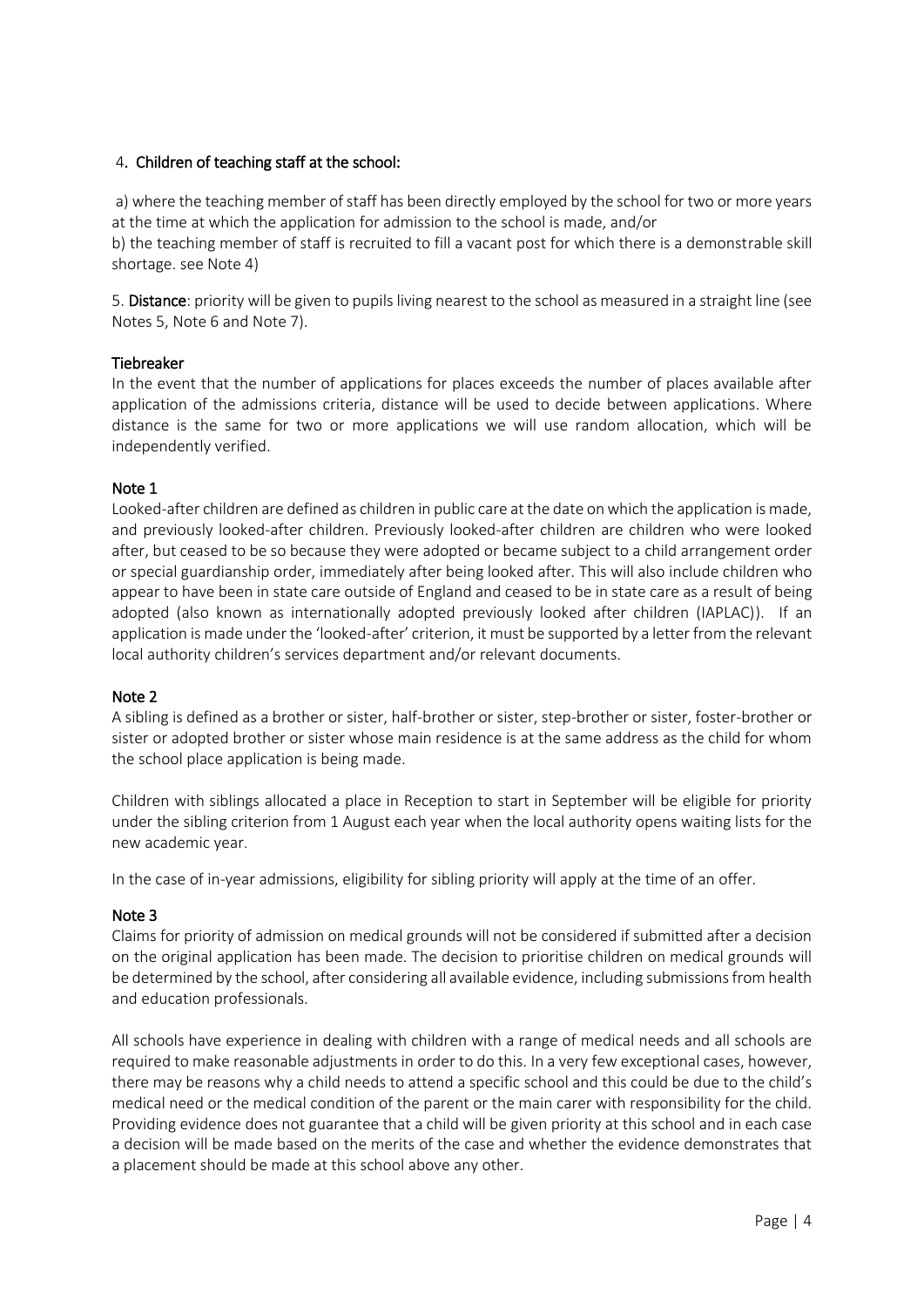# 4. Children of teaching staff at the school:

a) where the teaching member of staff has been directly employed by the school for two or more years at the time at which the application for admission to the school is made, and/or

b) the teaching member of staff is recruited to fill a vacant post for which there is a demonstrable skill shortage. see Note 4)

5. Distance: priority will be given to pupils living nearest to the school as measured in a straight line (see Notes 5, Note 6 and Note 7).

#### Tiebreaker

In the event that the number of applications for places exceeds the number of places available after application of the admissions criteria, distance will be used to decide between applications. Where distance is the same for two or more applications we will use random allocation, which will be independently verified.

# Note 1

Looked-after children are defined as children in public care at the date on which the application is made, and previously looked-after children. Previously looked-after children are children who were looked after, but ceased to be so because they were adopted or became subject to a child arrangement order or special guardianship order, immediately after being looked after. This will also include children who appear to have been in state care outside of England and ceased to be in state care as a result of being adopted (also known as internationally adopted previously looked after children (IAPLAC)). If an application is made under the 'looked-after' criterion, it must be supported by a letter from the relevant local authority children's services department and/or relevant documents.

#### Note 2

A sibling is defined as a brother or sister, half-brother or sister, step-brother or sister, foster-brother or sister or adopted brother or sister whose main residence is at the same address as the child for whom the school place application is being made.

Children with siblings allocated a place in Reception to start in September will be eligible for priority under the sibling criterion from 1 August each year when the local authority opens waiting lists for the new academic year.

In the case of in-year admissions, eligibility for sibling priority will apply at the time of an offer.

#### Note 3

Claims for priority of admission on medical grounds will not be considered if submitted after a decision on the original application has been made. The decision to prioritise children on medical grounds will be determined by the school, after considering all available evidence, including submissions from health and education professionals.

All schools have experience in dealing with children with a range of medical needs and all schools are required to make reasonable adjustments in order to do this. In a very few exceptional cases, however, there may be reasons why a child needs to attend a specific school and this could be due to the child's medical need or the medical condition of the parent or the main carer with responsibility for the child. Providing evidence does not guarantee that a child will be given priority at this school and in each case a decision will be made based on the merits of the case and whether the evidence demonstrates that a placement should be made at this school above any other.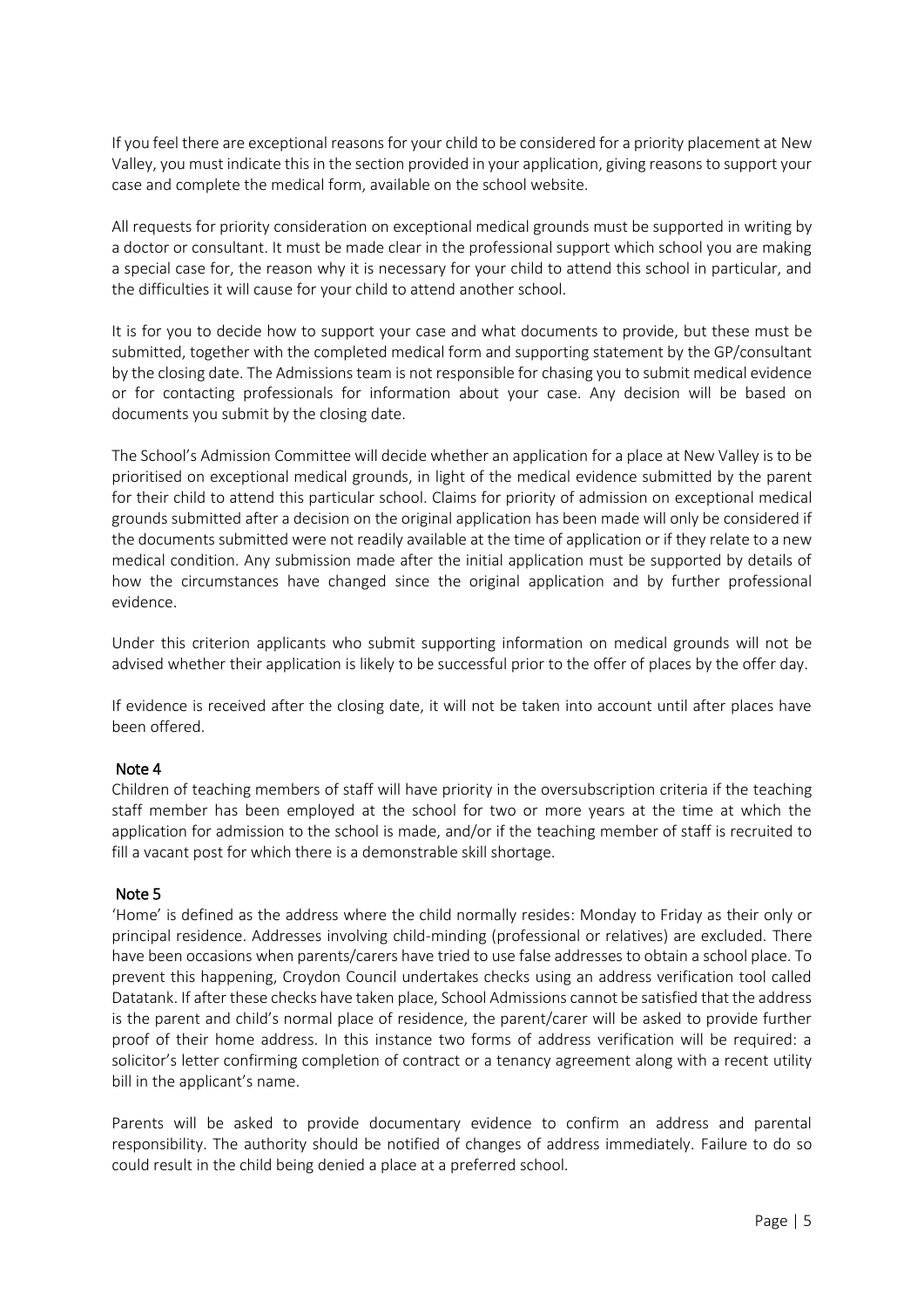If you feel there are exceptional reasons for your child to be considered for a priority placement at New Valley, you must indicate this in the section provided in your application, giving reasons to support your case and complete the medical form, available on the school website.

All requests for priority consideration on exceptional medical grounds must be supported in writing by a doctor or consultant. It must be made clear in the professional support which school you are making a special case for, the reason why it is necessary for your child to attend this school in particular, and the difficulties it will cause for your child to attend another school.

It is for you to decide how to support your case and what documents to provide, but these must be submitted, together with the completed medical form and supporting statement by the GP/consultant by the closing date. The Admissions team is not responsible for chasing you to submit medical evidence or for contacting professionals for information about your case. Any decision will be based on documents you submit by the closing date.

The School's Admission Committee will decide whether an application for a place at New Valley is to be prioritised on exceptional medical grounds, in light of the medical evidence submitted by the parent for their child to attend this particular school. Claims for priority of admission on exceptional medical grounds submitted after a decision on the original application has been made will only be considered if the documents submitted were not readily available at the time of application or if they relate to a new medical condition. Any submission made after the initial application must be supported by details of how the circumstances have changed since the original application and by further professional evidence.

Under this criterion applicants who submit supporting information on medical grounds will not be advised whether their application is likely to be successful prior to the offer of places by the offer day.

If evidence is received after the closing date, it will not be taken into account until after places have been offered.

#### Note 4

Children of teaching members of staff will have priority in the oversubscription criteria if the teaching staff member has been employed at the school for two or more years at the time at which the application for admission to the school is made, and/or if the teaching member of staff is recruited to fill a vacant post for which there is a demonstrable skill shortage.

#### Note 5

'Home' is defined as the address where the child normally resides: Monday to Friday as their only or principal residence. Addresses involving child-minding (professional or relatives) are excluded. There have been occasions when parents/carers have tried to use false addresses to obtain a school place. To prevent this happening, Croydon Council undertakes checks using an address verification tool called Datatank. If after these checks have taken place, School Admissions cannot be satisfied that the address is the parent and child's normal place of residence, the parent/carer will be asked to provide further proof of their home address. In this instance two forms of address verification will be required: a solicitor's letter confirming completion of contract or a tenancy agreement along with a recent utility bill in the applicant's name.

Parents will be asked to provide documentary evidence to confirm an address and parental responsibility. The authority should be notified of changes of address immediately. Failure to do so could result in the child being denied a place at a preferred school.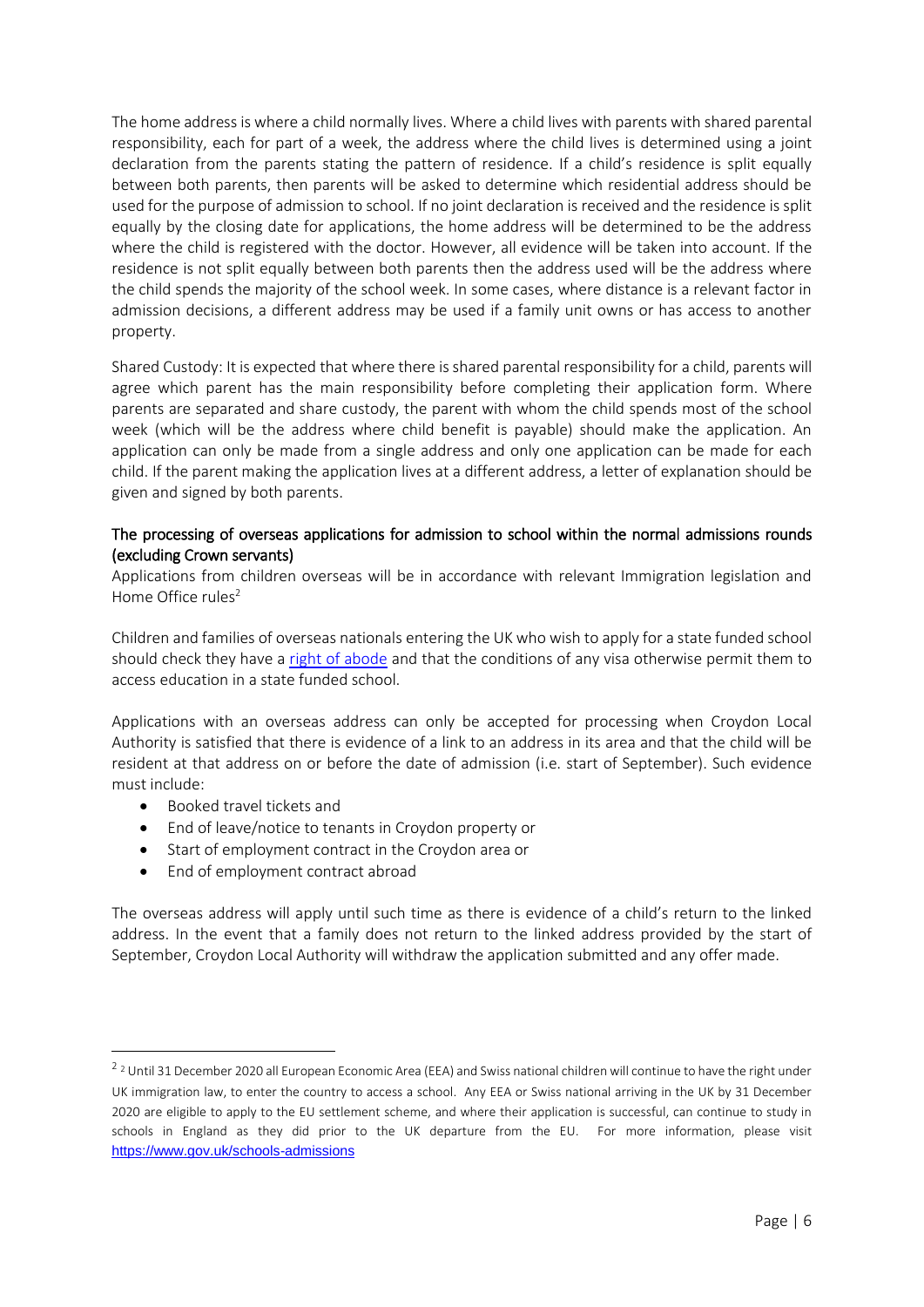The home address is where a child normally lives. Where a child lives with parents with shared parental responsibility, each for part of a week, the address where the child lives is determined using a joint declaration from the parents stating the pattern of residence. If a child's residence is split equally between both parents, then parents will be asked to determine which residential address should be used for the purpose of admission to school. If no joint declaration is received and the residence is split equally by the closing date for applications, the home address will be determined to be the address where the child is registered with the doctor. However, all evidence will be taken into account. If the residence is not split equally between both parents then the address used will be the address where the child spends the majority of the school week. In some cases, where distance is a relevant factor in admission decisions, a different address may be used if a family unit owns or has access to another property.

Shared Custody: It is expected that where there is shared parental responsibility for a child, parents will agree which parent has the main responsibility before completing their application form. Where parents are separated and share custody, the parent with whom the child spends most of the school week (which will be the address where child benefit is payable) should make the application. An application can only be made from a single address and only one application can be made for each child. If the parent making the application lives at a different address, a letter of explanation should be given and signed by both parents.

# The processing of overseas applications for admission to school within the normal admissions rounds (excluding Crown servants)

Applications from children overseas will be in accordance with relevant Immigration legislation and Home Office rules $2$ 

Children and families of overseas nationals entering the UK who wish to apply for a state funded school should check they have a [right of abode](https://www.gov.uk/right-of-abode) and that the conditions of any visa otherwise permit them to access education in a state funded school.

Applications with an overseas address can only be accepted for processing when Croydon Local Authority is satisfied that there is evidence of a link to an address in its area and that the child will be resident at that address on or before the date of admission (i.e. start of September). Such evidence must include:

• Booked travel tickets and

1

- End of leave/notice to tenants in Croydon property or
- Start of employment contract in the Croydon area or
- End of employment contract abroad

The overseas address will apply until such time as there is evidence of a child's return to the linked address. In the event that a family does not return to the linked address provided by the start of September, Croydon Local Authority will withdraw the application submitted and any offer made.

<sup>&</sup>lt;sup>2</sup> <sup>2</sup> Until 31 December 2020 all European Economic Area (EEA) and Swiss national children will continue to have the right under UK immigration law, to enter the country to access a school. Any EEA or Swiss national arriving in the UK by 31 December 2020 are eligible to apply to the EU settlement scheme, and where their application is successful, can continue to study in schools in England as they did prior to the UK departure from the EU. For more information, please visit <https://www.gov.uk/schools-admissions>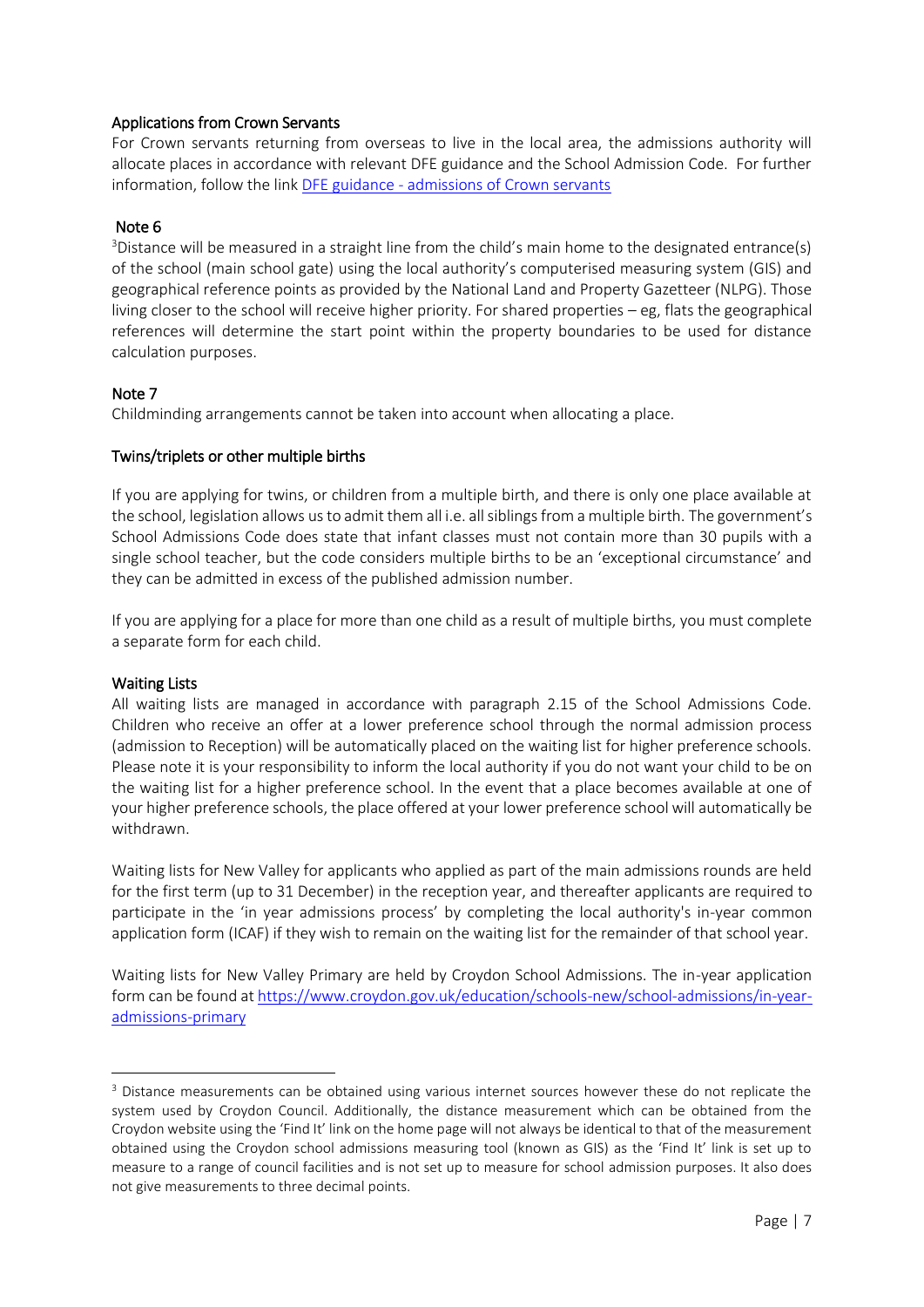# Applications from Crown Servants

For Crown servants returning from overseas to live in the local area, the admissions authority will allocate places in accordance with relevant DFE guidance and the School Admission Code. For further information, follow the link DFE guidance - [admissions of Crown servants](https://assets.publishing.service.gov.uk/government/uploads/system/uploads/attachment_data/file/461481/Admission_of_children_of_crown_servants.pdf) 

### Note 6

<sup>3</sup>Distance will be measured in a straight line from the child's main home to the designated entrance(s) of the school (main school gate) using the local authority's computerised measuring system (GIS) and geographical reference points as provided by the National Land and Property Gazetteer (NLPG). Those living closer to the school will receive higher priority. For shared properties – eg, flats the geographical references will determine the start point within the property boundaries to be used for distance calculation purposes.

# Note 7

Childminding arrangements cannot be taken into account when allocating a place.

# Twins/triplets or other multiple births

If you are applying for twins, or children from a multiple birth, and there is only one place available at the school, legislation allows us to admit them all i.e. all siblings from a multiple birth. The government's School Admissions Code does state that infant classes must not contain more than 30 pupils with a single school teacher, but the code considers multiple births to be an 'exceptional circumstance' and they can be admitted in excess of the published admission number.

If you are applying for a place for more than one child as a result of multiple births, you must complete a separate form for each child.

#### Waiting Lists

**.** 

All waiting lists are managed in accordance with paragraph 2.15 of the School Admissions Code. Children who receive an offer at a lower preference school through the normal admission process (admission to Reception) will be automatically placed on the waiting list for higher preference schools. Please note it is your responsibility to inform the local authority if you do not want your child to be on the waiting list for a higher preference school. In the event that a place becomes available at one of your higher preference schools, the place offered at your lower preference school will automatically be withdrawn.

Waiting lists for New Valley for applicants who applied as part of the main admissions rounds are held for the first term (up to 31 December) in the reception year, and thereafter applicants are required to participate in the 'in year admissions process' by completing the local authority's in-year common application form (ICAF) if they wish to remain on the waiting list for the remainder of that school year.

Waiting lists for New Valley Primary are held by Croydon School Admissions. The in-year application form can be found at [https://www.croydon.gov.uk/education/schools-new/school-admissions/in-year](https://www.croydon.gov.uk/education/schools-new/school-admissions/in-year-admissions-primary)[admissions-primary](https://www.croydon.gov.uk/education/schools-new/school-admissions/in-year-admissions-primary) 

<sup>&</sup>lt;sup>3</sup> Distance measurements can be obtained using various internet sources however these do not replicate the system used by Croydon Council. Additionally, the distance measurement which can be obtained from the Croydon website using the 'Find It' link on the home page will not always be identical to that of the measurement obtained using the Croydon school admissions measuring tool (known as GIS) as the 'Find It' link is set up to measure to a range of council facilities and is not set up to measure for school admission purposes. It also does not give measurements to three decimal points.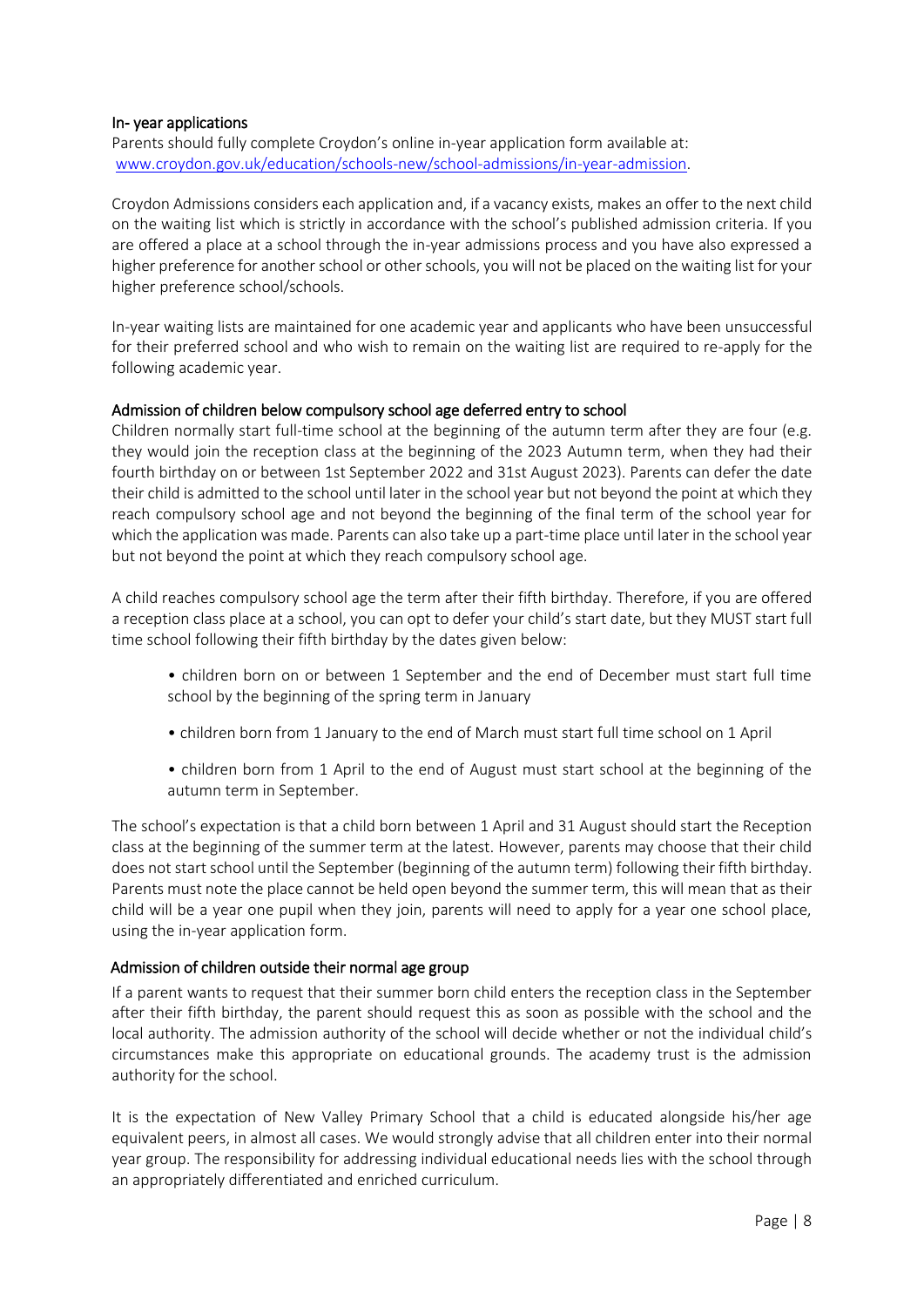### In- year applications

Parents should fully complete Croydon's online in-year application form available at: [www.croydon.gov.uk/education/schools-new/school-admissions/in-year-admission.](http://www.croydon.gov.uk/education/schools-new/school-admissions/in-year-admission)

Croydon Admissions considers each application and, if a vacancy exists, makes an offer to the next child on the waiting list which is strictly in accordance with the school's published admission criteria. If you are offered a place at a school through the in-year admissions process and you have also expressed a higher preference for another school or other schools, you will not be placed on the waiting list for your higher preference school/schools.

In-year waiting lists are maintained for one academic year and applicants who have been unsuccessful for their preferred school and who wish to remain on the waiting list are required to re-apply for the following academic year.

# Admission of children below compulsory school age deferred entry to school

Children normally start full-time school at the beginning of the autumn term after they are four (e.g. they would join the reception class at the beginning of the 2023 Autumn term, when they had their fourth birthday on or between 1st September 2022 and 31st August 2023). Parents can defer the date their child is admitted to the school until later in the school year but not beyond the point at which they reach compulsory school age and not beyond the beginning of the final term of the school year for which the application was made. Parents can also take up a part-time place until later in the school year but not beyond the point at which they reach compulsory school age.

A child reaches compulsory school age the term after their fifth birthday. Therefore, if you are offered a reception class place at a school, you can opt to defer your child's start date, but they MUST start full time school following their fifth birthday by the dates given below:

- children born on or between 1 September and the end of December must start full time school by the beginning of the spring term in January
- children born from 1 January to the end of March must start full time school on 1 April
- children born from 1 April to the end of August must start school at the beginning of the autumn term in September.

The school's expectation is that a child born between 1 April and 31 August should start the Reception class at the beginning of the summer term at the latest. However, parents may choose that their child does not start school until the September (beginning of the autumn term) following their fifth birthday. Parents must note the place cannot be held open beyond the summer term, this will mean that as their child will be a year one pupil when they join, parents will need to apply for a year one school place, using the in-year application form.

# Admission of children outside their normal age group

If a parent wants to request that their summer born child enters the reception class in the September after their fifth birthday, the parent should request this as soon as possible with the school and the local authority. The admission authority of the school will decide whether or not the individual child's circumstances make this appropriate on educational grounds. The academy trust is the admission authority for the school.

It is the expectation of New Valley Primary School that a child is educated alongside his/her age equivalent peers, in almost all cases. We would strongly advise that all children enter into their normal year group. The responsibility for addressing individual educational needs lies with the school through an appropriately differentiated and enriched curriculum.